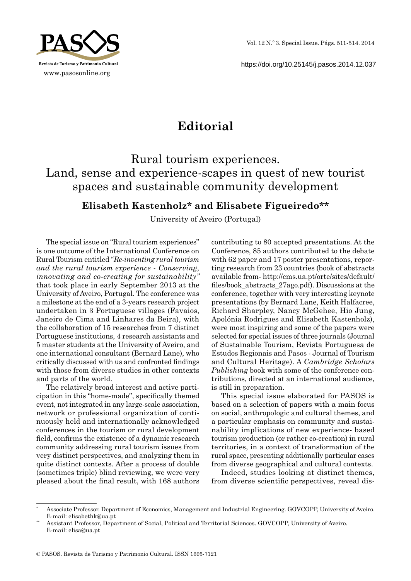



https://doi.org/10.25145/j.pasos.2014.12.037

## **Editorial**

Rural tourism experiences. Land, sense and experience-scapes in quest of new tourist spaces and sustainable community development

## **Elisabeth Kastenholz\* and Elisabete Figueiredo\*\***

University of Aveiro (Portugal)

The special issue on "Rural tourism experiences" is one outcome of the International Conference on Rural Tourism entitled "*Re-inventing rural tourism and the rural tourism experience - Conserving, innovating and co-creating for sustainability"* that took place in early September 2013 at the University of Aveiro, Portugal. The conference was a milestone at the end of a 3-years research project undertaken in 3 Portuguese villages (Favaios, Janeiro de Cima and Linhares da Beira), with the collaboration of 15 researches from 7 distinct Portuguese institutions, 4 research assistants and 5 master students at the University of Aveiro, and one international consultant (Bernard Lane), who critically discussed with us and confronted findings with those from diverse studies in other contexts and parts of the world.

The relatively broad interest and active participation in this "home-made", specifically themed event, not integrated in any large-scale association, network or professional organization of continuously held and internationally acknowledged conferences in the tourism or rural development field, confirms the existence of a dynamic research community addressing rural tourism issues from very distinct perspectives, and analyzing them in quite distinct contexts. After a process of double (sometimes triple) blind reviewing, we were very pleased about the final result, with 168 authors

contributing to 80 accepted presentations. At the Conference, 85 authors contributed to the debate with 62 paper and 17 poster presentations, reporting research from 23 countries (book of abstracts available from- http://cms.ua.pt/orte/sites/default/ files/book\_abstracts\_27ago.pdf). Discussions at the conference, together with very interesting keynote presentations (by Bernard Lane, Keith Halfacree, Richard Sharpley, Nancy McGehee, Hio Jung, Apolónia Rodrigues and Elisabeth Kastenholz), were most inspiring and some of the papers were selected for special issues of three journals (Journal of Sustainable Tourism, Revista Portuguesa de Estudos Regionais and Pasos - Journal of Tourism and Cultural Heritage). A *Cambridge Scholars Publishing* book with some of the conference contributions, directed at an international audience, is still in preparation.

This special issue elaborated for PASOS is based on a selection of papers with a main focus on social, anthropologic and cultural themes, and a particular emphasis on community and sustainability implications of new experience- based tourism production (or rather co-creation) in rural territories, in a context of transformation of the rural space, presenting additionally particular cases from diverse geographical and cultural contexts.

Indeed, studies looking at distinct themes, from diverse scientific perspectives, reveal dis-

<sup>\*</sup> Associate Professor. Department of Economics, Management and Industrial Engineering. GOVCOPP, University of Aveiro. E-mail: elisabethk@ua.pt

<sup>\*\*</sup> Assistant Professor, Department of Social, Political and Territorial Sciences. GOVCOPP, University of Aveiro. E-mail: elisa@ua.pt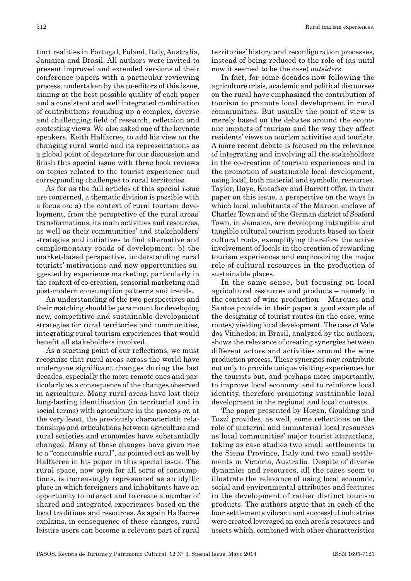tinct realities in Portugal, Poland, Italy, Australia, Jamaica and Brasil. All authors were invited to present improved and extended versions of their conference papers with a particular reviewing process, undertaken by the co-editors of this issue, aiming at the best possible quality of each paper and a consistent and well integrated combination of contributions rounding up a complex, diverse and challenging field of research, reflection and contesting views. We also asked one of the keynote speakers, Keith Halfacree, to add his view on the changing rural world and its representations as a global point of departure for our discussion and finish this special issue with three book reviews on topics related to the tourist experience and corresponding challenges to rural territories.

As far as the full articles of this special issue are concerned, a thematic division is possible with a focus on: a) the context of rural tourism development, from the perspective of the rural areas' transformations, its main activities and resources, as well as their communities' and stakeholders' strategies and initiatives to find alternative and complementary roads of development; b) the market-based perspective, understanding rural tourists' motivations and new opportunities suggested by experience marketing, particularly in the context of co-creation, sensorial marketing and post-modern consumption patterns and trends.

An understanding of the two perspectives and their matching should be paramount for developing new, competitive and sustainable development strategies for rural territories and communities, integrating rural tourism experiences that would benefit all stakeholders involved.

As a starting point of our reflections, we must recognize that rural areas across the world have undergone significant changes during the last decades, especially the more remote ones and particularly as a consequence of the changes observed in agriculture. Many rural areas have lost their long-lasting identification (in territorial and in social terms) with agriculture in the process or, at the very least, the previously characteristic relationships and articulations between agriculture and rural societies and economies have substantially changed. Many of these changes have given rise to a "consumable rural", as pointed out as well by Halfacree in his paper in this special issue. The rural space, now open for all sorts of consumptions, is increasingly represented as an idyllic place in which foreigners and inhabitants have an opportunity to interact and to create a number of shared and integrated experiences based on the local traditions and resources. As again Halfacree explains, in consequence of these changes, rural leisure users can become a relevant part of rural

territories' history and reconfiguration processes, instead of being reduced to the role of (as until now it seemed to be the case) *outsiders*.

In fact, for some decades now following the agriculture crisis, academic and political discourses on the rural have emphasized the contribution of tourism to promote local development in rural communities. But usually the point of view is merely based on the debates around the economic impacts of tourism and the way they affect residents' views on tourism activities and tourists. A more recent debate is focused on the relevance of integrating and involving all the stakeholders in the co-creation of tourism experiences and in the promotion of sustainable local development, using local, both material and symbolic, resources. Taylor, Daye, Kneafsey and Barrett offer, in their paper on this issue, a perspective on the ways in which local inhabitants of the Maroon enclave of Charles Town and of the German district of Seaford Town, in Jamaica, are developing intangible and tangible cultural tourism products based on their cultural roots, exemplifying therefore the active involvement of locals in the creation of rewarding tourism experiences and emphasizing the major role of cultural resources in the production of sustainable places.

In the same sense, but focusing on local agricultural resources and products – namely in the context of wine production – Marques and Santos provide in their paper a good example of the designing of tourist routes (in the case, wine routes) yielding local development. The case of Vale dos Vinhedos, in Brasil, analyzed by the authors, shows the relevance of creating synergies between different actors and activities around the wine production process. These synergies may contribute not only to provide unique visiting experiences for the tourists but, and perhaps more importantly, to improve local economy and to reinforce local identity, therefore promoting sustainable local development in the regional and local contexts.

The paper presented by Horan, Goulding and Tozzi provides, as well, some reflections on the role of material and immaterial local resources as local communities' major tourist attractions, taking as case studies two small settlements in the Siena Province, Italy and two small settlements in Victoria, Australia. Despite of diverse dynamics and resources, all the cases seem to illustrate the relevance of using local economic, social and environmental attributes and features in the development of rather distinct tourism products. The authors argue that in each of the four settlements vibrant and successful industries were created leveraged on each area's resources and assets which, combined with other characteristics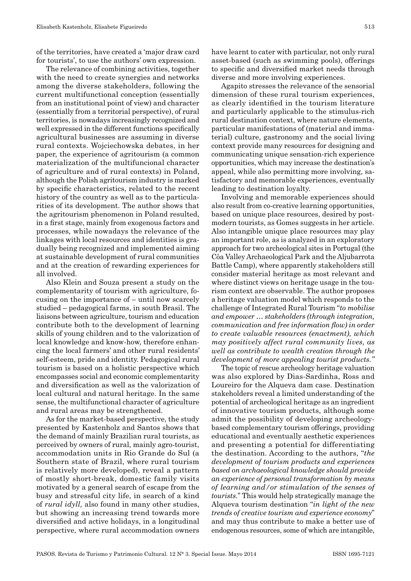of the territories, have created a 'major draw card for tourists', to use the authors' own expression.

The relevance of combining activities, together with the need to create synergies and networks among the diverse stakeholders, following the current multifunctional conception (essentially from an institutional point of view) and character (essentially from a territorial perspective), of rural territories, is nowadays increasingly recognized and well expressed in the different functions specifically agricultural businesses are assuming in diverse rural contexts. Wojciechowska debates, in her paper, the experience of agritourism (a common materialization of the multifuncional character of agriculture and of rural contexts) in Poland, although the Polish agritourism industry is marked by specific characteristics, related to the recent history of the country as well as to the particularities of its development. The author shows that the agritourism phenomenon in Poland resulted, in a first stage, mainly from exogenous factors and processes, while nowadays the relevance of the linkages with local resources and identities is gradually being recognized and implemented aiming at sustainable development of rural communities and at the creation of rewarding experiences for all involved.

Also Klein and Souza present a study on the complementarity of tourism with agriculture, focusing on the importance of – until now scarcely studied – pedagogical farms, in south Brasil. The liaisons between agriculture, tourism and education contribute both to the development of learning skills of young children and to the valorization of local knowledge and know-how, therefore enhancing the local farmers' and other rural residents' self-esteem, pride and identity. Pedagogical rural tourism is based on a holistic perspective which encompasses social and economic complementarity and diversification as well as the valorization of local cultural and natural heritage. In the same sense, the multifunctional character of agriculture and rural areas may be strengthened.

As for the market-based perspective, the study presented by Kastenholz and Santos shows that the demand of mainly Brazilian rural tourists, as perceived by owners of rural, mainly agro-tourist, accommodation units in Rio Grande do Sul (a Southern state of Brazil, where rural tourism is relatively more developed), reveal a pattern of mostly short-break, domestic family visits motivated by a general search of escape from the busy and stressful city life, in search of a kind of *rural idyll,* also found in many other studies, but showing an increasing trend towards more diversified and active holidays, in a longitudinal perspective, where rural accommodation owners

have learnt to cater with particular, not only rural asset-based (such as swimming pools), offerings to specific and diversified market needs through diverse and more involving experiences.

Agapito stresses the relevance of the sensorial dimension of these rural tourism experiences, as clearly identified in the tourism literature and particularly applicable to the stimulus-rich rural destination context, where nature elements, particular manifestations of (material and immaterial) culture, gastronomy and the social living context provide many resources for designing and communicating unique sensation-rich experience opportunities, which may increase the destination's appeal, while also permitting more involving, satisfactory and memorable experiences, eventually leading to destination loyalty.

Involving and memorable experiences should also result from co-creative learning opportunities, based on unique place resources, desired by postmodern tourists, as Gomes suggests in her article. Also intangible unique place resources may play an important role, as is analyzed in an exploratory approach for two archeological sites in Portugal (the Côa Valley Archaeological Park and the Aljubarrota Battle Camp), where apparently stakeholders still consider material heritage as most relevant and where distinct views on heritage usage in the tourism context are observable. The author proposes a heritage valuation model which responds to the challenge of Integrated Rural Tourism "*to mobilise and empower … stakeholders (through integration, communication and free information flow) in order to create valuable resources (enactment), which may positively affect rural community lives, as well as contribute to wealth creation through the development of more appealing tourist products."* 

The topic of rescue archeology heritage valuation was also explored by Dias-Sardinha, Ross and Loureiro for the Alqueva dam case. Destination stakeholders reveal a limited understanding of the potential of archeological heritage as an ingredient of innovative tourism products, although some admit the possibility of developing archeologybased complementary tourism offerings, providing educational and eventually aesthetic experiences and presenting a potential for differentiating the destination. According to the authors, "*the development of tourism products and experiences based on archaeological knowledge should provide an experience of personal transformation by means of learning and/or stimulation of the senses of tourists*." This would help strategically manage the Alqueva tourism destination "*in light of the new trends of creative tourism and experience economy*" and may thus contribute to make a better use of endogenous resources, some of which are intangible,